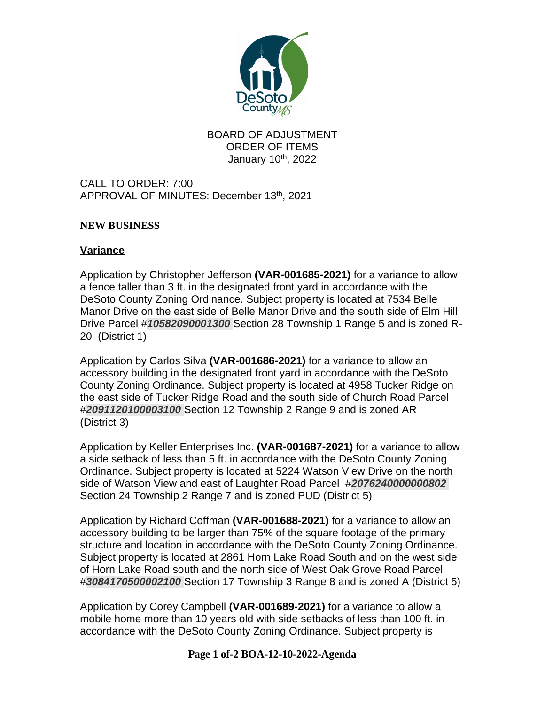

## BOARD OF ADJUSTMENT ORDER OF ITEMS January 10<sup>th</sup>, 2022

CALL TO ORDER: 7:00 APPROVAL OF MINUTES: December 13th, 2021

## **NEW BUSINESS**

## **Variance**

Application by Christopher Jefferson **(VAR-001685-2021)** for a variance to allow a fence taller than 3 ft. in the designated front yard in accordance with the DeSoto County Zoning Ordinance. Subject property is located at 7534 Belle Manor Drive on the east side of Belle Manor Drive and the south side of Elm Hill Drive Parcel #*10582090001300* Section 28 Township 1 Range 5 and is zoned R-20 (District 1)

Application by Carlos Silva **(VAR-001686-2021)** for a variance to allow an accessory building in the designated front yard in accordance with the DeSoto County Zoning Ordinance. Subject property is located at 4958 Tucker Ridge on the east side of Tucker Ridge Road and the south side of Church Road Parcel #*2091120100003100* Section 12 Township 2 Range 9 and is zoned AR (District 3)

Application by Keller Enterprises Inc. **(VAR-001687-2021)** for a variance to allow a side setback of less than 5 ft. in accordance with the DeSoto County Zoning Ordinance. Subject property is located at 5224 Watson View Drive on the north side of Watson View and east of Laughter Road Parcel #*2076240000000802* Section 24 Township 2 Range 7 and is zoned PUD (District 5)

Application by Richard Coffman **(VAR-001688-2021)** for a variance to allow an accessory building to be larger than 75% of the square footage of the primary structure and location in accordance with the DeSoto County Zoning Ordinance. Subject property is located at 2861 Horn Lake Road South and on the west side of Horn Lake Road south and the north side of West Oak Grove Road Parcel #*3084170500002100* Section 17 Township 3 Range 8 and is zoned A (District 5)

Application by Corey Campbell **(VAR-001689-2021)** for a variance to allow a mobile home more than 10 years old with side setbacks of less than 100 ft. in accordance with the DeSoto County Zoning Ordinance. Subject property is

## **Page 1 of-2 BOA-12-10-2022-Agenda**